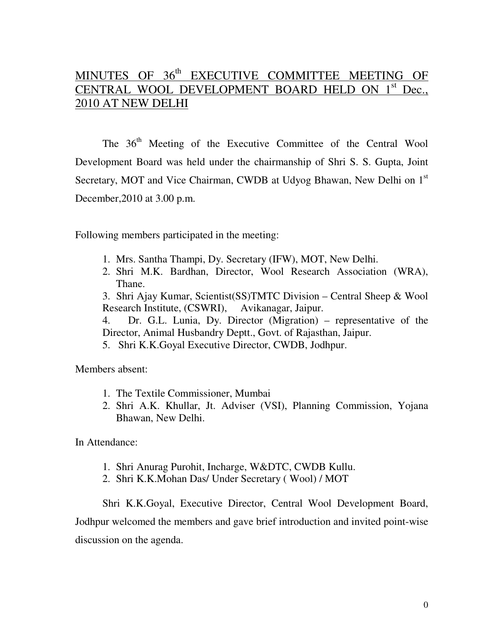## MINUTES OF 36<sup>th</sup> EXECUTIVE COMMITTEE MEETING OF CENTRAL WOOL DEVELOPMENT BOARD HELD ON 1<sup>st</sup> Dec., 2010 AT NEW DELHI

The 36<sup>th</sup> Meeting of the Executive Committee of the Central Wool Development Board was held under the chairmanship of Shri S. S. Gupta, Joint Secretary, MOT and Vice Chairman, CWDB at Udyog Bhawan, New Delhi on 1<sup>st</sup> December,2010 at 3.00 p.m.

Following members participated in the meeting:

- 1. Mrs. Santha Thampi, Dy. Secretary (IFW), MOT, New Delhi.
- 2. Shri M.K. Bardhan, Director, Wool Research Association (WRA), Thane.

3. Shri Ajay Kumar, Scientist(SS)TMTC Division – Central Sheep & Wool Research Institute, (CSWRI), Avikanagar, Jaipur.

- 4. Dr. G.L. Lunia, Dy. Director (Migration) representative of the Director, Animal Husbandry Deptt., Govt. of Rajasthan, Jaipur.
- 5. Shri K.K.Goyal Executive Director, CWDB, Jodhpur.

Members absent:

- 1. The Textile Commissioner, Mumbai
- 2. Shri A.K. Khullar, Jt. Adviser (VSI), Planning Commission, Yojana Bhawan, New Delhi.

In Attendance:

- 1. Shri Anurag Purohit, Incharge, W&DTC, CWDB Kullu.
- 2. Shri K.K.Mohan Das/ Under Secretary ( Wool) / MOT

Shri K.K.Goyal, Executive Director, Central Wool Development Board, Jodhpur welcomed the members and gave brief introduction and invited point-wise discussion on the agenda.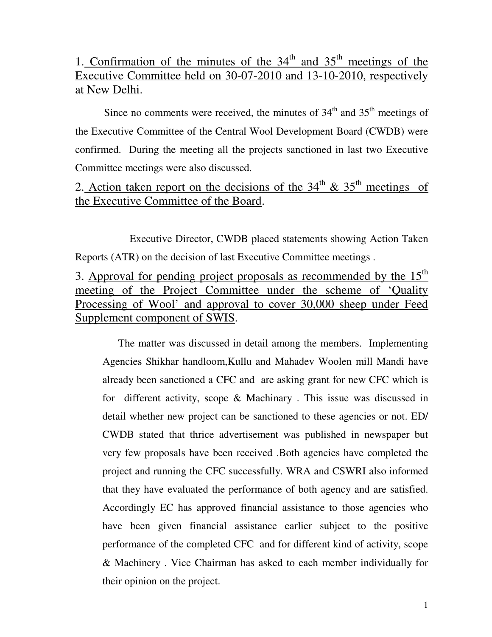# 1. Confirmation of the minutes of the  $34<sup>th</sup>$  and  $35<sup>th</sup>$  meetings of the Executive Committee held on 30-07-2010 and 13-10-2010, respectively at New Delhi.

Since no comments were received, the minutes of  $34<sup>th</sup>$  and  $35<sup>th</sup>$  meetings of the Executive Committee of the Central Wool Development Board (CWDB) were confirmed. During the meeting all the projects sanctioned in last two Executive Committee meetings were also discussed.

# 2. Action taken report on the decisions of the  $34<sup>th</sup>$  &  $35<sup>th</sup>$  meetings of the Executive Committee of the Board.

 Executive Director, CWDB placed statements showing Action Taken Reports (ATR) on the decision of last Executive Committee meetings .

3. Approval for pending project proposals as recommended by the  $15<sup>th</sup>$ meeting of the Project Committee under the scheme of 'Quality Processing of Wool' and approval to cover 30,000 sheep under Feed Supplement component of SWIS.

 The matter was discussed in detail among the members. Implementing Agencies Shikhar handloom,Kullu and Mahadev Woolen mill Mandi have already been sanctioned a CFC and are asking grant for new CFC which is for different activity, scope & Machinary . This issue was discussed in detail whether new project can be sanctioned to these agencies or not. ED/ CWDB stated that thrice advertisement was published in newspaper but very few proposals have been received .Both agencies have completed the project and running the CFC successfully. WRA and CSWRI also informed that they have evaluated the performance of both agency and are satisfied. Accordingly EC has approved financial assistance to those agencies who have been given financial assistance earlier subject to the positive performance of the completed CFC and for different kind of activity, scope & Machinery . Vice Chairman has asked to each member individually for their opinion on the project.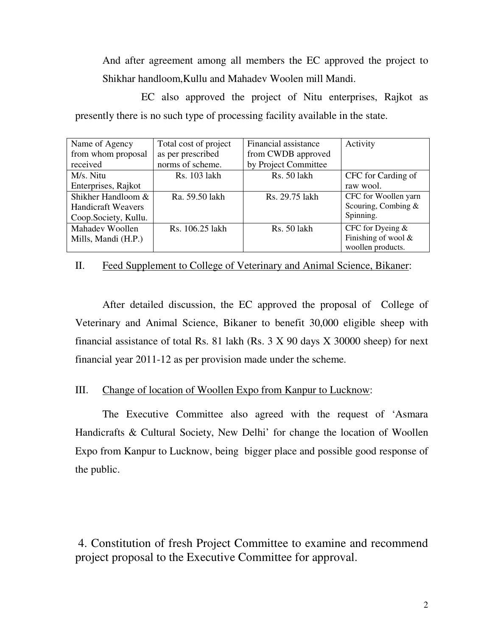And after agreement among all members the EC approved the project to Shikhar handloom,Kullu and Mahadev Woolen mill Mandi.

 EC also approved the project of Nitu enterprises, Rajkot as presently there is no such type of processing facility available in the state.

| Name of Agency            | Total cost of project | Financial assistance | Activity               |
|---------------------------|-----------------------|----------------------|------------------------|
| from whom proposal        | as per prescribed     | from CWDB approved   |                        |
| received                  | norms of scheme.      | by Project Committee |                        |
| M/s. Nitu                 | Rs. 103 lakh          | Rs. 50 lakh          | CFC for Carding of     |
| Enterprises, Rajkot       |                       |                      | raw wool.              |
| Shikher Handloom &        | Ra. 59.50 lakh        | Rs. 29.75 lakh       | CFC for Woollen yarn   |
| <b>Handicraft Weavers</b> |                       |                      | Scouring, Combing $&$  |
| Coop.Society, Kullu.      |                       |                      | Spinning.              |
| Mahadev Woollen           | Rs. 106.25 lakh       | Rs. 50 lakh          | CFC for Dyeing &       |
| Mills, Mandi (H.P.)       |                       |                      | Finishing of wool $\&$ |
|                           |                       |                      | woollen products.      |

#### II. Feed Supplement to College of Veterinary and Animal Science, Bikaner:

 After detailed discussion, the EC approved the proposal of College of Veterinary and Animal Science, Bikaner to benefit 30,000 eligible sheep with financial assistance of total Rs. 81 lakh (Rs.  $3 \times 90$  days  $X \times 30000$  sheep) for next financial year 2011-12 as per provision made under the scheme.

#### III. Change of location of Woollen Expo from Kanpur to Lucknow:

 The Executive Committee also agreed with the request of 'Asmara Handicrafts & Cultural Society, New Delhi' for change the location of Woollen Expo from Kanpur to Lucknow, being bigger place and possible good response of the public.

 4. Constitution of fresh Project Committee to examine and recommend project proposal to the Executive Committee for approval.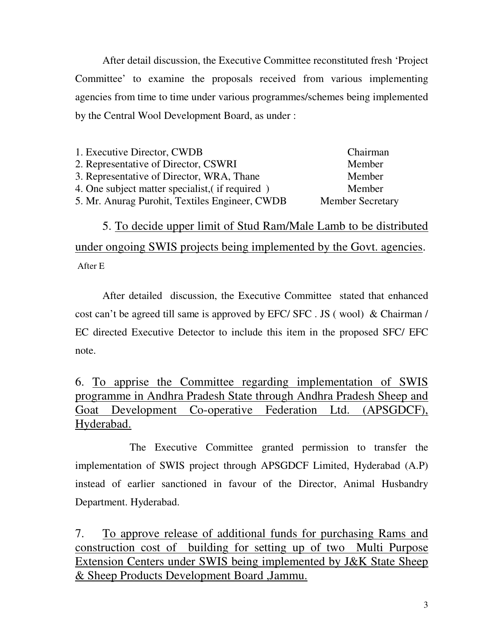After detail discussion, the Executive Committee reconstituted fresh 'Project Committee' to examine the proposals received from various implementing agencies from time to time under various programmes/schemes being implemented by the Central Wool Development Board, as under :

| 1. Executive Director, CWDB                     | Chairman                |
|-------------------------------------------------|-------------------------|
| 2. Representative of Director, CSWRI            | Member                  |
| 3. Representative of Director, WRA, Thane       | Member                  |
| 4. One subject matter specialist, (if required) | Member                  |
| 5. Mr. Anurag Purohit, Textiles Engineer, CWDB  | <b>Member Secretary</b> |
|                                                 |                         |

 5. To decide upper limit of Stud Ram/Male Lamb to be distributed under ongoing SWIS projects being implemented by the Govt. agencies. After E

 After detailed discussion, the Executive Committee stated that enhanced cost can't be agreed till same is approved by EFC/ SFC . JS ( wool) & Chairman / EC directed Executive Detector to include this item in the proposed SFC/ EFC note.

6. To apprise the Committee regarding implementation of SWIS programme in Andhra Pradesh State through Andhra Pradesh Sheep and Goat Development Co-operative Federation Ltd. (APSGDCF), Hyderabad. Ī

 The Executive Committee granted permission to transfer the implementation of SWIS project through APSGDCF Limited, Hyderabad (A.P) instead of earlier sanctioned in favour of the Director, Animal Husbandry Department. Hyderabad.

7. To approve release of additional funds for purchasing Rams and construction cost of building for setting up of two Multi Purpose Extension Centers under SWIS being implemented by J&K State Sheep & Sheep Products Development Board ,Jammu.